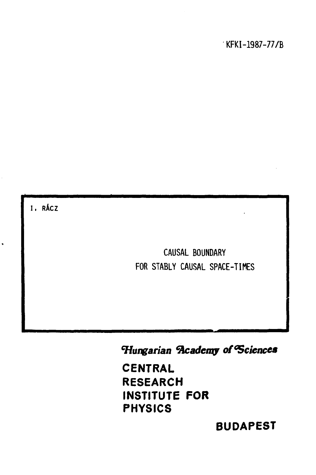**I , RÁCZ** 

 $\ddot{\phantom{0}}$ 

**CAUSAL BOUNDARY FOR STABLY CAUSAL SPACE-TIMES** 

*Hungarian academy of Sciences* 

**CENTRAL RESEARCH INSTITUTE FOR PHYSICS** 

**BUDAPEST**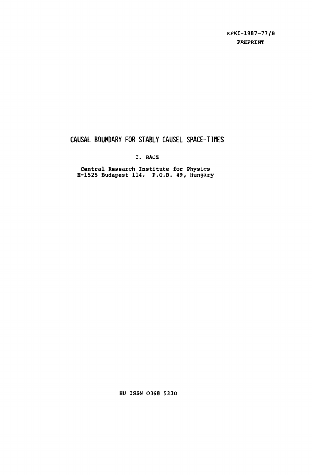**KFKI-1987-77/B PREPRINT** 

# **CAUSAL BOUNDARY FOR STABLY CAUSEL SPACE-TIMES**

**I. RÄCZ** 

**Central Research Institute for Physics H-1525 Budapest 114, P.O.B. 49, Hungary** 

**Hü ISSN 0368 5330**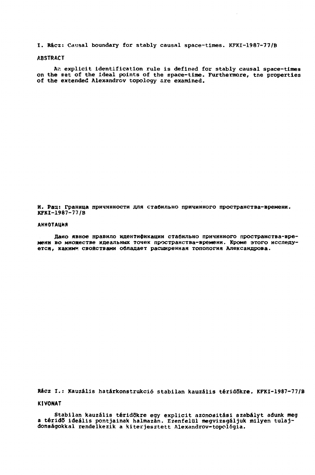**I. Rácz: Causal boundary for stably causal space-times. KFKI-1987-77/B** 

## **ABSTRACT**

*РкГ.* **explicit identification rule is defined for stably causal space-times on the set of the ideal points of the space-time. Furthermore, tne properties of the extended Alexandrov topology are examined.** 

**И. Рац: Граница причинности для стабильно причинного пространства-времени. KFKI-1987-77/B** 

#### **АННОТАЦИЯ**

Дано явное правило идентификации стабильно причинного пространства-времени во множестве идеальных точек пространства-времени. Кроме этого исследуется, каким<sup>и</sup> свойствами обладает расширенная топология Александрова.

**Rácz I.: Kauzális határkonstrukció stabilan kauzális téridökre. KFKI-1987-77/B** 

**KIVONAT** 

**Stabilan kauzális téridőkre egy explicit azonosítási szabályt adunk meg**  a téridő ideális pontjainak halmazán. Ezenfelül megvizsgáljuk milyen tulaj**donságokkal rendelkezik a kiterjesztett Alexandrov-topológia.**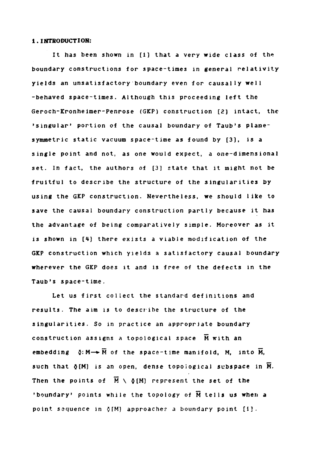## **1. IHTRODUCTIOH:**

**It has been shown in [1) that a very wide class of the boundary constructions for space-times in general relativity yields an unsatisfactory boundary even for causally well -behaved space-times. Although this proceeding left the Geroch-Kronheimer-Penrose (GKP) construction [3] intact, the 'singular' portion of the causal boundary of Taub's planesymmetric static vacuum space-time as found by [3], is a single point and not, as one would expect, a one-dimensional set. In fact, the authors of [3] state that it might not be fruitful to describe the structure of the singularities by using the GKP construction. Nevertheless, we should like to save the causal boundary construction partly because it has the advantage of being comparatively simple. Moreover as it is shown in [4) there exists a viable modification of the GKP construction which yields a satisfactory causal boundary wherever the GKP does it and is free of the defects in the Taub's space-time.** 

**Let us first collect the standard definitions and results. The aim is to describe the structure of the singularities. So in practice an appropriate boundary construction assigns a topological space M with an embedding**  $\Phi: M \rightarrow \overline{M}$  of the space-time manifold, M, into  $\overline{M}$ , such that  $\delta$ [M] is an open, dense topological subspace in  $\overline{M}$ . Then the points of  $\overline{M} \setminus \delta(M)$  represent the set of the **'boundary' points while the topology of ÍÍ tells us when a point sequence in**  $\delta$ **[M] approaches a boundary point [1].**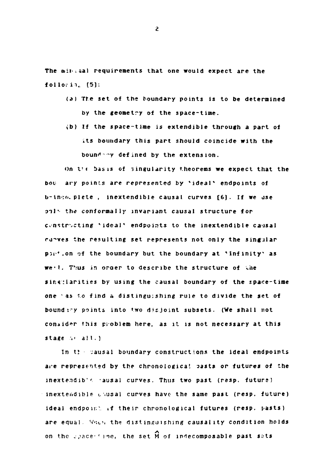**The mii'.úal requirements that one would expect are the**  followin. [5]:

- **(a) Tte set of the boundary points is to be determined by the geometry of the space-time.**
- **ib) If the space-time is extendible through a part of its boundary this part should coincide with the**  boundary defined by the extension.

**on t»< basis of singularity theorems we expect that the bot- ary points are represented by \* ideal\* endpoints of b-lnco.. piete , inextendible causal curves [6]. If we use**  onl<sup>t</sup> the conformally invariant causal structure for **constructing "'ideal\* endpoints to the inextendible causal ru-ves the resulting set represents not only the singular pst'.on of the boundary but the boundary at \* infinity4 as we**(1. Thus in order to describe the structure of the singularities by using the causal boundary of the space-time *one* **'as** *'.o* **find a dist ingu; shing rule to divide the set of bound i-y points into two disjoint subsets. (We shall not consider this pioblem here, as it is not necessary at this**  stage  $\omega$  all.)

**In ti jausal boundary constructions the ideal endpoints are represented by the chronological oasts** *or* **futures of the inextend ib''; -ausal curves. Thus two past (resp. future? inextendible chusal curves have the same past (resp. future) ideal endpon.v if their chronological futures (resp. vasts)**  are equal. When the distinguishing causality condition holds on the space<sup>-1</sup> ine, the set M of indecomposable past sets

*г*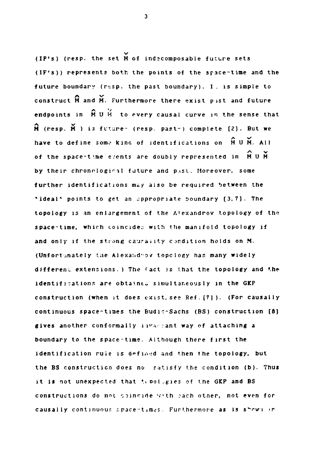**(IP's) (resp. the set M of indecomposable future sets (IF's)) represents both the points of the space-time and the**  future boundary (resp. the past boundary). I. is simple to **construct M and M. Furthermore there exist pist and future**   *v v* **endpoints in M U И to every causal curve in the sense that M (resp. M )** *i3* **fvture- (resp. past-) complete [2]. But we**  have to define some kind of identifications on  $\hat{M}$  U M. All of the space-time events are doubly represented in M U M. topology is an enlargement of the Alexandrov topology of the space-time, which coincides with the manifold topology if and only if the strong caurality condition holds on M. (Unfortunately the Alexandrov topology has many widely different extensions.) The fact is that the topology and the identifications are obtained simultaneously in the GKP construction (when it does exist, see Ref. [7]). (For causally continuous space-times the Budic-Sachs (BS) construction [8] gives another conformally invariant way of attaching a boundary to the space-time. Although there first the identification rule is defined and then the topology, but the BS construction does no satisfy the condition (b). Thus it is not unexpected that tepologies of the GKP and BS constructions do not spincide with each other, not even for causally continuous space-times. Furthermore as is shown in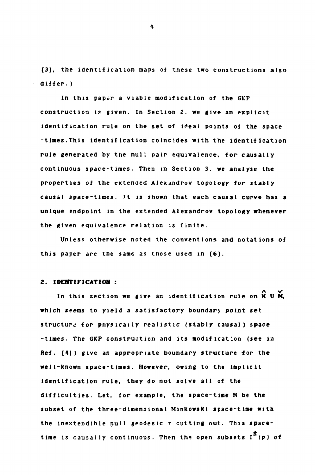**[3], the identification maps of these two constructions also differ. )** 

**In this paper a viable modification of the Gk'P construction is given. In Section 2. we give an explicit**  identification rule on the set of ideal points of the space **-times.This identification coincides with the identification rule generated by the hull pair equivalence, for causally continuous space-times. Then in Section 3. we analyse the properties of the extended Alexandrov topology for stably causal space-times. Jt is shown that each causal curve has a unique endpoint in the extended Alexandrov topology whenever the given equivalence relation is finite.** 

**Unless otherwise noted the conventions and notations of this paper are the same as those used in [6].** 

## *Z.* **IDENTIFICATION :**

In this section we give an identification rule on  $\widehat{M}$  U M. which seems to yield a satisfactory boundary point set Ref. [4]) give an appropriate boundary structure for the well-known space-times. However, owing to the implicit subset of the three-dimensional Minkowski space-time with the internal geodesic terms of the internal geodesic terms of the internal geodesic terms of the internal geodesic time is causally continuous. Then the open subsets  $I^+(p)$  of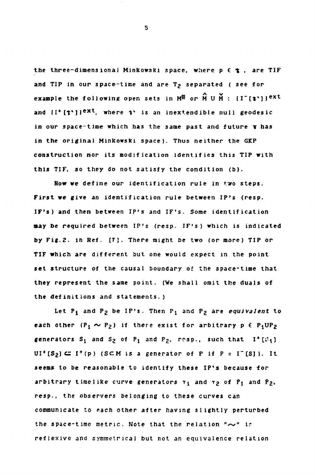the three-dimensional Minkowski space, where  $p \in \mathbf{t}$ , are TIF and TIP in our space-time and are T<sub>2</sub> separated ( see for **example the following open sets in**  $M^{\#}$  **or**  $\hat{M}$  **U**  $\check{M}$  **:**  $\{I^-[i^{\star}]\}$ **<sup>ext</sup>** and  $\{I^+[1^*]\}^{\infty}$ , where  $V$  is an inextendible null geodesic **in our space-time which has the same past and future т has in the original Minkowski space). Thus neither the GKP construction nor its modification identifies this TIP with this TIF, so they do not satisfy the condition (b).** 

**How we define our identification rule in two steps. First we give an identification rule between IP's (resp. IF's) and then between IP's and IF's. Some identification may be required between IP's (resp. IF's) which is indicated by Fig.2. in Ref. [7]. There might be two (or more) TIP or TIF which are different but one would expect in the point set structure of the causal boundary of the space-time that they represent the same point. (We shall omit the duals of the definitions and statements.)** 

Let  $P_i$  and  $P_2$  be IP's. Then  $P_i$  and  $P_2$  are *equivalent* to **each other**  $(P_1 \sim P_2)$  **if there exist for arbitrary**  $p \in P_1UP_2$ **generators**  $S_1$  and  $S_2$  of  $P_1$  and  $P_2$ , rosp., such that  $I^+[S_1]$  $UI^+(S_2) \subseteq I^+(p)$  (SCM is a generator of P if  $P = I^-(S)$ ). It **seems to be reasonable to identify these IP's because for**  arbitrary timelike curve generators  $r_1$  and  $r_2$  of  $P_1$  and  $P_2$ , **resp., the observers belonging to these curves can communicate to each other after having slightly perturbed**  the space-time metric. Note that the relation " $\sim$ " ir **reflexive and symmetrical but not an equivalence relation**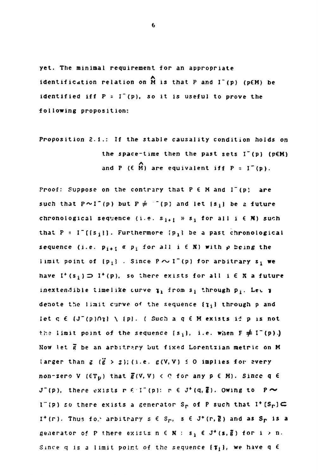**yet. The minimal requirement for an appropriate**  identification relation on  $\widehat{M}$  is that P and  $I^-(p)$  ( $p \in M$ ) be **identified iff**  $P = I^-(p)$ **, so it is useful to prove the identified iff P = I~(p), so it is useful to prove the** 

**Proposition 2.1.: If the stable causality condition holds** *on*  **the space-time then the past sets I"(p) (p€M) л and P (€ M) are equivalent iff P = I~(p).** 

Proof: Suppose on the contrary that P  $\epsilon$  M and I<sup>-</sup>(p) are such that  $P \sim I^-(p)$  but  $P \neq I^-(p)$  and let  $\{s_i\}$  be a future chronological sequence (i.e.  $s_{i+1}$  »  $s_i$  for all  $i \in N$ ) such that  $P = I^{-}([s_{i}])$ . Furthermore  $\{p_{i}\}\$  be a past chronological **sequence** (i.e.  $p_{i+1}$  **«**  $p_i$  for all i  $\in$  **K**) with  $p$  being the **limit point of**  ${p_i}$ **.** Since  $P \sim I^-(p)$  for arbitrary  $s_i$  we have  $I^+(s_i) \supset I^+(p)$ , so there exists for all  $i \in \mathbb{N}$  a future inextendible timelike curve  $\mathfrak{x}_1$  from  $\mathfrak{s}_1$  through  $\mathfrak{p}_1$ . Let  $\mathfrak{p}_2$ **denote tiie limit curve o\* the sequence (1 1 through p and**  let  $q \in \{J^-(p)\cap \gamma\} \setminus \{p\}$ . (Such a  $q \in M$  exists if  $p$  is not the limit point of the sequence  $\{s_i\}$ , i.e. when  $F \neq I^-(p)$ .) **Now let g be an arbitrary but fixed Lorentzian metric on M**  larger than  $g$  ( $\ddot{g} > g$ );(i.e.  $g(V, V) \le 0$  implies for every non-zero V  $(\epsilon T_p)$  that  $\bar{g}(V, V) < 0$  for any  $p \in M$ ). Since q  $\epsilon$ **J**<sup> $\bullet$ </sup>(p), there exists r  $f: I^-(p):$  r  $f: J^+(q, \bar{g})$ . Owing to  $P \sim$ **1"(p)** so there exists a generator  $S_r$  of P such that  $I^*[S_r] \subset \mathbb{C}$  $I^+(r)$ . Thus for arbitrary  $s \in S_r$ ,  $s \in J^+(r, \overline{g})$  and as  $S_r$  is a generator of P there exists  $n \in \mathbb{N}$  :  $s_i \in J^+(s, \overline{g})$  for  $i > n$ . Since q is a limit point of the sequence  $\{\tau_i\}$ , we have q  $\epsilon$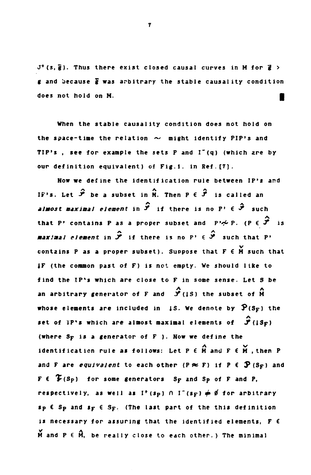**J <sup>+</sup> (s,g). Thus there exist closed causal curves in M for g\* > g and because g was arbitrary the stable causality condition**  does not hold on M.

**When the stable causality condition does not hold on**  the space-time the relation  $\sim$  might identify PIP's and TIP's, see for example the sets P and I<sup>-</sup>(q) (which are by **our definition equivalent) of Fig.l. in Ref. [7].** 

**Now we define the identification rule between IP's and**  IF's. Let  $\hat{J}$  be a subset in H. Then  $P \in \hat{J}$  is called an  $\hat{\mathcal{F}}$  *almost maximal element* in  $\hat{\mathcal{F}}$  if there is no  $P' \in \hat{\mathcal{F}}$  such **that P' contains P as a proper subset and P'**  $\sim$  **P.** (P  $\in \hat{\mathcal{F}}$ )  $\mathbf{i}$  $\mathbf{r} = \mathbf{r} \cdot \mathbf{r}$  as a proper subset and  $\mathbf{r} = \mathbf{r} \cdot \mathbf{r}$  $\mathbf{H}$  there is no  $\mathbf{r}$   $\in$   $\mathbf{v}$ contains P as a proper subset). Suppose that F  $\epsilon$  M such that **4F** (the common past of F) is not empty. We should like to find the IP's which are close to F in some sense. Let S be an arbitrary generator of F and  $\hat{\mathcal{S}}$ (1S) the subset of  $\hat{M}$ whose elements are included in  $\sharp S$ . We denote by  $\mathbf{\hat{P}}(S_{\mathbf{F}})$  the **set of IP's which are almost maximal elements of**  $\hat{\mathcal{Y}}$ **(IS<sub>F</sub>) (where S<sub>F</sub> is a generator of F). Now we define the set of IP's which are almost maximal elements of J^USp)**  ldentification rule as follows: Let P **E** M and F **E** M *<u>x*</u> and F are *equivalent* to each other (P  $\approx$  F) if P  $\in$   $\mathfrak{P}$  (S<sub>F</sub>) and  $F \in \mathcal{F}(S_P)$  for some generators  $S_F$  and  $S_P$  of  $F$  and  $P$ , **respectively, as well as I<sup>+</sup>(sp)**  $\cap$  **I<sup>-</sup>(s<sub>F</sub>)**  $\neq$  $\emptyset$  **for arbitrary**  $s_{P}$   $\epsilon$   $s_{P}$  and  $s_{F}$   $\epsilon$   $s_{F}$ . (The last part of the this definition is necessary for assuring that the identified elements, F 6  $\tilde{M}$  and  $P \in \hat{M}$ , be really close to each other.) The minimal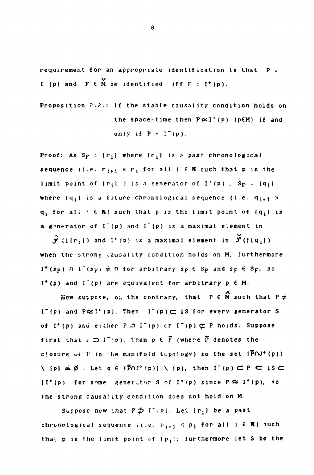**requirement for an appropriate identification is that P v I** (b) and **F**  $\epsilon$  M be identified if  $\mathbf{r} = \mathbf{r}$  (b).

**Proposition 2.2.: If the stable causality condition holds on**  the space-time then  $P \approx I^+(p)$  ( $p \in M$ ) if and only if  $P = 1^-(p)$ .

**Proof:** As  $S_F = \{r_i\}$  where  $\{r_i\}$  is a past chronological **sequence** (i.e.  $r_{i+1}$  «  $r_i$  for all i  $\in$  **N** such that p is the **limit** point of  $\{r_i\}$  ) is a generator of  $I^+(p)$ ,  $S_p = \{q_i\}$ where  ${q_i}$  is a future chronological sequence (i.e.  ${q_{i+1}}$  »  $q$ **<sub><b>i**</sub> for all <sup>*i*</sup>  $\in$  N) such that p is the limit point of  $\{q$ **i** is **a generator of I"(p) and I~(p) is a maximal element in** 

 $\mathbf{\hat{y}}$  ( $\{[(r_1)]\}$  and  $\mathbf{I}^+(p)$  is a maximal element in  $\mathbf{\check{y}}(f\{q_1\})$ **when the strong causality condition holds on M, furthermore**   $I^*(s_p)$   $\cap$   $I^*(s_p) \neq 0$  for arbitrary sp  $\in$  S<sub>p</sub> and s<sub>p</sub>  $\in$  S<sub>p</sub>, so **I <sup>+</sup> ( p) and I"('p) are equivalent for arbitrary p € M.** 

How suppose, on the contrary, that  $P \in \widehat{M}$  such that  $P \neq$  $I^-(p)$  and  $P \approx I^+(p)$ . Then  $I^-(p) \subset I S$  for every generator S **of** I<sup>+</sup> (p) and either  $P \supseteq I^-(p)$  or  $I^-(p) \not\subset P$  holds. Suppose **first that**  $r \supseteq I^-(p)$ **. Then**  $p \in \overline{P}$  **(where**  $\overline{P}$  **denotes the** closure of P in the manifold topology) so the set (POJ<sup>+</sup>(p))  $\setminus$  {p}  $\neq$   $\emptyset$  . Let  $q \in \{P \cap J^*(p)\}$   $\setminus$  {p}, then  $I^-(p) \subset P \subset I S \subset I$  $\downarrow$  I<sup>+</sup>( $\rho$ ) for some generator S of I<sup>+</sup>( $p$ ) since  $P \approx I^+(p)$ , so the strong causality condition does not hold on M.

Suppose now that  $P \nrightarrow I^-(p)$ . Let  $\{p_i\}$  be a past chronological sequence (i.e.  $p_{i+1}$   $\leq$   $p_i$  for all  $i \in \mathbb{R}$ ) such that p is the limit point of  $\{p_j\}$ ; furthermore let S be the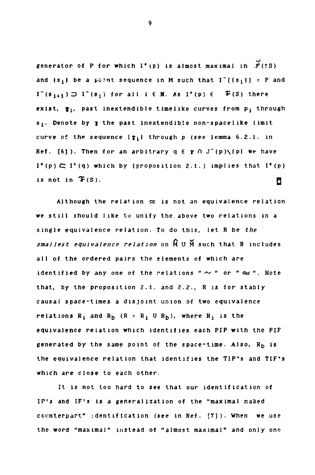generator of P for which  $I^+(p)$  is almost maximal in  $\mathcal{V}(fS)$ and  $\{s_j\}$  be a point sequence in M such that  $I^*[s_j] = P$  and **I**<sup>"</sup>(s<sub>**i**+**1**</sub>) ⊃ **I**<sup> $supsup>$ </sup> (s<sub>**i**</sub>) for all i  $\in$  **N**. As **I<sup><sup>+</sup></sup>(p)**  $\in$  $\in$  $\in$  $\in$  **(S) there exist, fj, past inextendible timelike curves from pj through sj. Denote by** *j* **the past inextendible non-space 1 ike limit curve of the sequence** *\t^\* **through p (see lemma 6.2.1. in Ref.** [6]). Then for an arbitrary  $q \in \mathbf{r} \cap J^-(p) \setminus \{p\}$  we have  $\mathbf{I}^+(\mathbf{p}) \subset \mathbf{I}^+(\mathbf{q})$  which by (proposition 2.1.) implies that  $\mathbf{I}^+(\mathbf{p})$ is not in  $\mathfrak{F}(S)$ .

Although the relation  $\approx$  is not an equivalence relation **we still should like to unify the above two relations in a single equivalence relation. To do this, let R be** *the smallest equivalence relation* **on M U M such that R includes all of the ordered pairs the elements of which are identified by any one of the relations "**  $\sim$  " or " $\approx$  ". Note **that, by the proposition 2.1. and 2.2., R is for stably causal space-times a disjoint union of two equivalence**  relations  $R_i$  and  $R_b$  ( $R = R_i$  U  $R_b$ ), where  $R_i$  is the **equivalence relation which identifies each PIP with the PIF**  generated by the same point of the space-time. Also, R<sub>b</sub> is **the equivalence relation that identifies the TIP'S and TIF's which are close to each other.** 

**It is not too hard to see that our identification of IP's and IF's is a generalization of the "maximal naked counterpart" identification (see in Ref. [7]). When we use the word "maximal" instead of "almost maximal" and only one**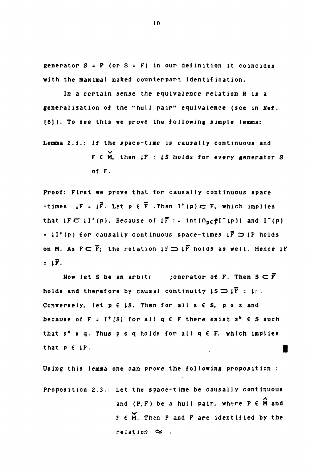**generator S = P (or S = F) in our definition it coincides with the maximal naked counterpart identification.** 

**In a certain sense the equivalence relation R is a generalization of the "hull pair" equivalence (see in Ref. [8]). To see this we prove the following simple lemma:** 

**Lemma 2.Í.: If the space-time is causally continuous and**  v **F 6 M, then** *IF - IS* **holds for every generator S of F.** 

**Proof: First we prove that for causally continuous space**   $-times$  if : if. Let  $p \in \overline{F}$  . Then  $1^+(p) \subset F$ , which implies that  $\{F \subset \{I^+(p)\}\$ . Because of  $\{\overline{F} : \text{int}(\cap_{p \in \overline{F}} I^-(p))\}$  and  $I^-(p)$  $: \downarrow I^+(p)$  for causally continuous space-times  $\downarrow \vec{F} \supset \downarrow F$  holds on M. As  $F \subseteq \overline{F}$ ; the relation  $IF \implies I\overline{F}$  holds as well. Hence  $IF$  $=$   $\downarrow$   $\overline{F}$ .

**Now let S be an arbitr jenerator of F. Then S С F**  holds and therefore by causal continuity  $\downarrow$ S  $\implies$   $\downarrow$   $\overline{F}$  =  $\downarrow$ *i*. **Conversely, let p € iS, Then for all s € S, p « s and because of F** =  $I^+$  [S] for all  $q \in F$  there exist  $s^* \in S$  such **that s\* « q. Thus p « q holds for all q € F, which implies that p e iF. |** 

**Using this lemma one can prove the following proposition : Proposition 2.3.: Let the space-time be causally continuous**  and  $(P, F)$  be a hull pair, where  $P \in \hat{M}$  and  $F \in M$ . Then P and  $F$  are identified by the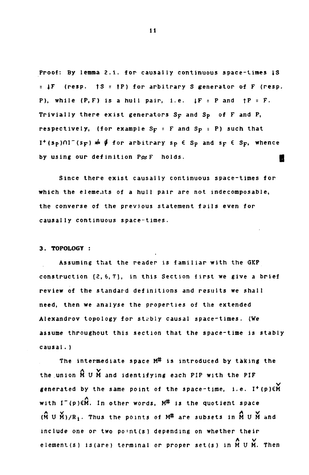**Proof: By lemma 2.1. for causally continuous space-times IS = |F (resp. fS : tP) for arbitrary S generator of F (resp. P), while**  $(P, F)$  **is a hull pair, i.e.**  $IF = P$  and  $fP = F$ . **Trivially there exist generators Sp and Sp of F and P, respectively, (for example Sp = F and Sp = P) such that I <sup>+</sup>(sp)01~(sp)** *£ ф* **for arbitrary sp € Sp and sp € Sp, whence by using our definition P** $\approx$  **F** holds.

**Since there exist causally continuous space-times for which the elements of a hull pair are not indecomposable, the converse of the previous statement fails even for causally continuous space-times.** 

# **3. TOPOLOGY :**

**Assuming that the reader is familiar with the GKP construction [2,6,7], in this Section first we give a brief review of the standard definitions and results we shall need, then we analyse the properties of the extended Alexandrov topology for stably causal space-times. (We assume throughout this section that the space-time is stably causal. )** 

**The intermediate space M# is introduced by taking the**   $\ldots$  Y **the union MU M and identifying each PIP with the PIF**  generated by the same point of the space-time, i.e. I<sup>+</sup>(p)EM with  $I^-(p) \in \hat{M}$ . In other words,  $M^{\#}$  is the quotient space  $(\hat{M} \cup \hat{M})/R_1$ . Thus the points of  $M^{\#}$  are subsets in  $\hat{M} \cup \hat{M}$  and include one or two point(s) depending on whether their **include one or two po\*nt(s) depending on whether their**   $\cdots$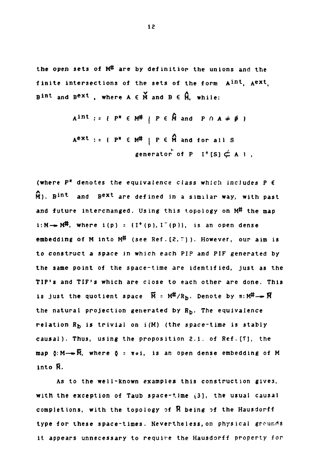the open sets of M<sup>#</sup> are by definition the unions and the finite intersections of the sets of the form  $A^{int}$ ,  $A^{ext}$ , **B**<sup>1nt</sup> and B<sup>ext</sup>, where A  $\epsilon$  M and B  $\epsilon$  M, while:

$$
Aint := { PH \in MH | P \in \hat{M} and P \cap A \neq \emptyset }
$$
  

$$
Aext := { PH \in MH | P \in \hat{M} and for all Sgenerator of P I+ [S]  $\neq$  A}.
$$

**(where P\* denotes the equivalence class which includes P € M**). B<sup>int</sup> and B<sup>ext</sup> are defined in a similar way, with past **and future interchanged. Using this topology on M# the map i:M**——**M<sup>#</sup>, where i(p)** = {I<sup>+</sup>(p), I<sup>-</sup>(p)}, is an open dense **embedding of M into M# (see Ref. [2,"])- However, our aim is to construct a space jn which each PIP and PIF generated by the same point of the space-time are identified, just as the TIP'S and TIF's which are close to each other are done. This**  is just the quotient space  $\overline{M}$  =  $M#/R_b$ . Denote by  $\pi: M# \rightarrow \overline{M}$ **the natural projection generated by R<sup>b</sup> . The equivalence**  relation  $R_h$  is trivial on  $i(M)$  (the space-time is stably **causal). Thus, using the proposition 2.1. of Ref.[Tj, the map ö:M—»M, where \$ = itoi, is an open dense embedding of M into Й.** 

**As to the well-Known examples this construction gives, with the exception of Taub space-time** *(3],* **the usual causal completions, with the topology of R being of the Hausdorff type for these space-times. Nevertheless, on physical grounds it appears unnecessary to require the Hausdorff property for**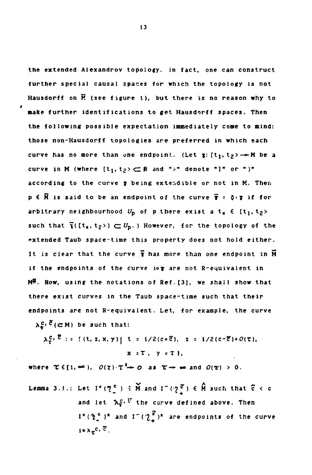**the extended Alexandrov topology. In fact, one can construct further special causal spaces for which the topology is not Hausdorff on К (see figure 1), but there is no reason why to make further identifications to get Hausdorff spaces. Then the following possible expectation immediately come to mind: those non-Hausdorff topologies are preferred in which each**  curve has no more than one endpoint. (Let  $\mathbf{x}$ :  $\{\mathbf{t}_1, \mathbf{t}_2\}$   $\rightarrow$  M be a **curve in M (where**  $[t_1, t_2) \subset \mathbb{R}$  **and ">" denote "]" or ")" according to the curve** *t* **being extendible or not in K. Then p € H is said to be an endpoint of the curve T : 5<T if for arbitrary** neighbourhood  $U_p$  of p there exist a t<sub>x</sub>  $\in$  [t<sub>1</sub>, t<sub>2</sub>> such that  $\overline{\mathbf{i}}$ ( $\mathbf{t}_1$ ,  $\mathbf{t}_2$ >)  $\subset U_p$ .) However, for the topology of the **extended Taub space-time this property does not hold either.**  It is clear that the curve  $\overline{\mathbf{r}}$  has more than one endpoint in  $\overline{\mathbf{M}}$ if the endpoints of the curve iot are not R-equivalent in **M#. Now, using the notations of Ref.[3], we shall show that there exist curves in the Taub space-time such that their endpoints are not R-equivalent. Let, for example, the curve** 

 $\lambda_n^C$ ,  $\tilde{C}$  ( $\subset$  M) be such that:

$$
\lambda_{\tau}^{c}
$$
,  $\vec{c}$  := { (t, z, x, y) |  $t = 1/2(c+\tilde{c})$ ,  $z = 1/2(c-\tilde{c})+O(\tau)$ ,  
 $x = \tau$ ,  $y = \tau$  },

**where**  $\tau \in (1, \infty)$ ,  $O(\tau) \cdot \tau^2$  **+** O as  $\tau \to \infty$  and  $O(\tau) > 0$ .

**Lemma** 3.1.: Let  $I^+(Z_{\underline{\ }^c}) \in \widetilde{M}$  and  $I^-(Z_{\underline{\ }^c}) \in \widehat{M}$  such that  $\widetilde{c} < c$ and let  $\lambda_{\tau}^{\mathcal{C}}, \mathcal{C}$  the curve defined above. Then  $1^+$  $(\mathcal{X}_2^{\circ})^*$  and  $1^ (\mathcal{Y}_1^{\circ})^*$  are endpoints of the curve  $\mathbf{i} \circ \lambda_{\tau}^{\mathbf{C}}$ ,  $\mathbf{C}$ .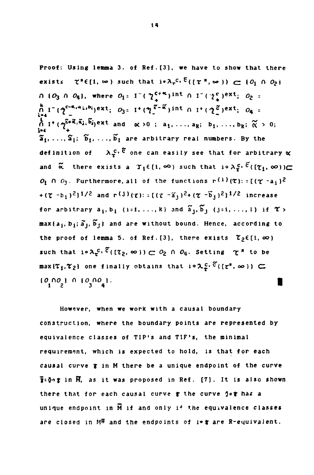**Proof: Using lemma 3. of Sef.[3), we have to show that there exists**  $\tau^* \in [1, \infty)$  such that  $i \cdot \lambda_{\tau}^{c} \cdot \overline{c}((\tau^*, \infty)) \subset (0_1 \cap 0_2)$  $O_3$   $O_4$ , where  $O_1 = I^{-}(\sqrt{2^{\frac{c+\alpha}{4}}})$  int  $O_1 = (\sqrt{2^{\frac{c}{4}}})^{\frac{c}{\alpha}}$ ,  $O_2 =$  $\bigcap_{k=4}^{k} I^{-}(\mathcal{C}^{-\alpha_{1}\alpha_{k}}, b_{k})\exp(-\alpha_{k}^{2} + \alpha_{k}^{2})$ **int**  $\bigcap_{k=4}^{k} I^{+}(\mathcal{C}^{\alpha}_{k})\exp(-\alpha_{k}^{2} + \alpha_{k}^{2})$  $\tilde{\bm{\Lambda}}$  I<sup>+</sup>( $\gamma^{\tilde{c}+\tilde{N}}$ , $\tilde{a}$ ;,  $b$ <sub>i</sub>)ext and  $\alpha > 0$ ;  $a_1, \ldots, a_k$ ;  $b_1, \ldots, b_k$ ;  $\tilde{\alpha} > 0$ ;  $\mathbf{\tilde{s}}_1, \ldots, \mathbf{\tilde{s}}_1; \ \mathbf{\tilde{b}}_1, \ldots, \mathbf{\tilde{b}}_l$  are arbitrary real numbers. By the **a\*j, . . ., a\*j; b <sup>1</sup> ( . . ., b j are arbitrary real numbers. By the definition of A**<sup> $\alpha$ </sup> **b**  $\frac{1}{2}$  **c**  $\frac{1}{2}$  **c**  $\frac{1}{2}$  **c**  $\frac{1}{2}$  **c**  $\frac{1}{2}$  **c**  $\frac{1}{2}$  **c**  $\frac{1}{2}$  **c**  $\frac{1}{2}$  **c**  $\frac{1}{2}$  **c**  $\frac{1}{2}$  **c**  $\frac{1}{2}$  **c**  $\frac{1}{2}$  **c**  $\frac{1}{2}$  **c**  $\frac{1}{2}$  **c**  $\frac{1}{2}$  **c**  $\frac{1}{2}$  $O_i$   $\cap$   $O_3$ . Furthermore, all of the functions  $\mathbf{r}^{(1)}(\tau)$ : =  $[(\tau - a_i)^2]$ **•(T-bi) <sup>2</sup> ] 1 / 2 and r<J )(c): : [( с -aj ) <sup>2</sup> + ( "bj J <sup>2</sup> ] 1 / 2 increase**  for arbitrary  $a_i, b_i$  (i=1,...,k) and  $\tilde{a}_j, \tilde{b}_j$  (j=1,...,l) if  $\tau$ >  $max{a_i, b_i; \tilde{a}_i, \tilde{b}_i}$  and are without bound. Hence, according to the proof of lemma 5. of Ref.[3], there exists  $\mathcal{T}_2 \in \{1, \infty\}$ **t** is the such that  $\mathbf{r}$  is the  $\mathbf{r}$  such that  $\mathbf{r}$  is the set of  $\mathbf{r}$  $max\{\mathcal{T}_1,\mathcal{T}_2\}$  one finally obtains that  $i \circ \lambda^C_{\mathcal{T}}(\mathcal{C}^*,\infty)) \subset \mathcal{C}$  $[0, 0, 0]$   $[0, 1, 0, 0, 0]$ .

**However, when we work with a causal boundary construction, where the boundary points are represented by equivalence classes of TIP'S and TIF's, the minimal requirement, which is expected to hold, is that for each causal curve** *%* **in M there be a unique endpolnt of the curve |=оо in FT, as it was proposed in Ref. [7]. It is also shown**  there that for each causal curve **f** the curve jo**t** has a **unique endpoint in M if and only if the equivalence classes are closed in M# and the endpoints of i«fr are R-equivalent.**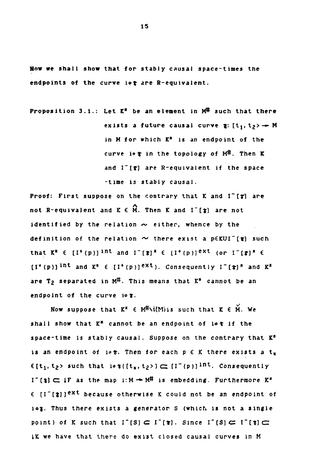**How we shall show that for stably causal space-times the**  endpoints of the curve iot are R-equivalent.

**Proposition З.1.: Let K" be an element in M# such that there exists a future causal curve**  $\mathbf{r}: [t_1, t_2) \rightarrow M$ **in M for which K\* is an endpoint of the curve i«***t* **in the topology of M#. Then К and I~[t] are R-equivalent if the space -time is stably causal.** 

**Proof: First suppose on the contrary that К and** *l~[V]* **are**  not R-equivalent and  $K \in \widehat{M}$ . Then  $K$  and  $I^-(\mathfrak{z})$  are not **identified by the relation**  $\sim$  **either, whence by the** definition of the relation  $\sim$  there exist a p $\epsilon$ KUI<sup>-</sup>[ $\epsilon$ ] such that  $K^*$   $\in$   $[I^+(p)]$  <sup>int</sup> and  $I^-[t]^*$   $\in$   $[I^+(p)]$ <sup>ext</sup> (or  $I^-(t)^*$   $\in$ **that K" € [I\* (p)J ln <sup>t</sup> and I"[»]Ä € [I <sup>+</sup> (p)] e x <sup>t</sup> (or** *I'lt]\** **6 are T**<sub>2</sub> separated in M<sup>#</sup>. This means that K<sup>\*</sup> cannot be an **andpoint of the curve io t.** 

Now suppose that  $K^* \in M^{\#} \setminus i(M)$  is such that  $K \in M$ . We shall show that K<sup>\*</sup> cannot be an endpoint of iot if the space-time is stably causal. Suppose on the contrary that K<sup>\*</sup> is an endpoint of i $\delta$  . Then for each  $p \in K$  there exists a  $t_{\frac{1}{2}}$  $\epsilon$ [t<sub>1</sub>, t<sub>2</sub>> such that io  $\gamma$ <sup>[[t<sub>g</sub>, t<sub>2</sub>>]  $\subset$  [I<sup>-</sup>(p)]<sup>int</sup>. Consequently</sup>  $I^-(t) \subset I$  **F** as the map i:  $M \rightarrow M^{\#}$  is embedding. Furthermore  $K^*$ **E** [I<sup>-</sup>[t]]<sup>ext</sup> because otherwise K could not be an endpoint of iog. Thus there exists a generator S (which is not a single point) of K such that  $I^-[S] \subset I^+[T]$ . Since  $I^-[S] \subset I^-[T]$ **ik we have that there do exist closed causal curves in M**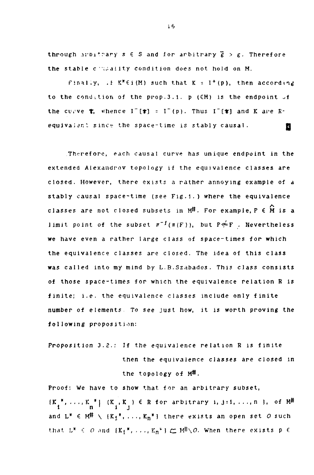through arbitrary  $s \in S$  and for arbitrary  $\overline{g} > g$ . Therefore the stable cilicality condition does not hold on M.

Finally,  $F K^* \in i(M)$  such that  $K = I^+(p)$ , then according to the condition of the prop. 3.1. p  $(\in M)$  is the endpoint  $\cup f$ the curve  $\tau$ , whence  $I^-(\tau) = I^-(p)$ . Thus  $I^-(\tau)$  and K are Requivalent since the space-time is stably causal.

Therefore, each causal curve has unique endpoint in the extended Aiexaudrov topology if the equivalence classes are closed. However, there exists a rather annoying example of a stably causal space-time (see Fig.1.) where the equivalence classes are not closed subsets in  $M^{\#}$ . For example,  $P \in \hat{M}$  is a limit point of the subset  $\pi^{-1}(\pi(F))$ , but  $P \not\approx F$  . Nevertheless we have even a rather large class of space-times for which the equivalence classes are closed. The idea of this class was called into my mind by L.B.Szabados. This class consists of those space-times for which the equivalence relation R is finite; i.e. the equivalence classes include only finite number of elements To see just how, it is worth proving the following proposition:

Proposition 3.2.: If the equivalence relation R is finite then the equivalence classes are closed in the topology of M#.

Proof: We have to show that for an arbitrary subset,  $K_{1}^{*},\ldots,K_{n}^{*}$  |  $(K_{1},K_{1})\in R$  for arbitrary i, j=1, ..., n }, of  $M^{\#}$ ل 11 ل 11 ك and  $L^*$  6 M<sup>H</sup>  $\setminus$  {K<sub>1</sub>", ..., K<sub>n</sub>\* J there exists an open set *O* such that  $L^*$   $\in$   $O$  and  $\{K_1{}^*, \ldots, K_n{}^\triangleright\}$   $\leftarrow$   $M^{\sharp}\backslash O.$  When there exists  $p$   $\in$ 

i6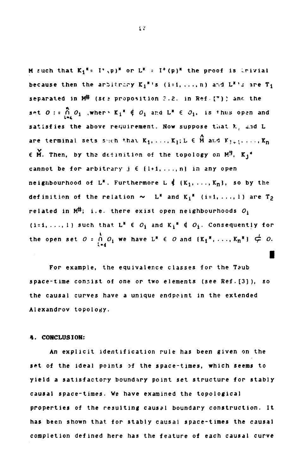**M** such that  $K_1^* = I^* \backslash p$ <sup>\*</sup> or  $L^* = I^*(p)^*$  the proof is trivial **because then the arbitrary**  $K_i^{*}$  **'s (i=1, ..., n)** and  $L^{*}$ 's are  $T_i$ **separated in M<sup>#</sup> (see proposition ?.2. in Ref. [\*]) and the** set  $O:$  :  $\bigcap_{i=1}^{n} O_i$  , where  $K_i^* \notin O_i$  and  $L^* \in O_i$ , is thus open and satisfies the above requirement. Now suppose that  $k_1$  and L are terminal sets shoh that  $K_1, \ldots, K_l$ ;  $L \in \hat{M}$  and  $K_{l+1}, \ldots, K_n$  $\epsilon$  M. Then, by the definition of the topology on  $M^{\sharp}$ ,  $K_1^{\sharp}$ cannot be for arbitrary  $j \in \{l+1, \ldots, n\}$  in any open **neighbourhood of L<sup>\*</sup>. Furthermore L**  $\oint$  {K<sub>1</sub>, ..., K<sub>n</sub>}, so by the **definition of the relation**  $\sim L^*$  **and**  $K_i^*$  **(i=1, ..., 1) are T<sub>2</sub>** related in  $M^{\#}$ ; i.e. there exist open neighbourhoods  $O_1$ (i=1, ..., 1) such that  $L^* \in O_1$  and  $K_i^* \notin O_i$ . Consequently for **the open set**  $O = \bigcap_{i=1}^{n} O_i$  we have  $L^* \in O$  and  $\{K_1^* \mid \ldots, K_n^* \} \notin O$ .

For example, the equivalence classes for the Taub **space-time consist of one or two elements (see Ref.[3]), so the causal curves have a unique endpoint in the extended Alexandrov topology.** 

**I** 

# **4. CONCLUSION:**

**An explicit identification rule has been given on the set of the ideal points** *o i* **the space-times, which seems to yield a satisfactory boundary point set structure for stably causal space-times. We have examined the topological properties of the resulting causal boundary construction. It has been shown that for stably causal space-times the causal completion defined here has the feature of each causal curve**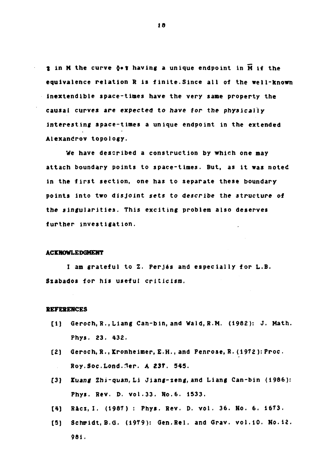**t** in M the curve  $\delta \bullet$  is having a unique endpoint in  $\overline{M}$  if the equivalence relation R is finite.Since all of the well-known inextendible space-times have the very same property the causal curves are expected to have for the physically Interesting space-times a unique endpoint in the extended Alexandrov topology.

We have described a construction by which one may attach boundary points to space-times. But, as it was noted in the first section, one has to separate these boundary points into two disjoint sets to describe *the* structure of the singularities. This exciting problem also deserves further investigation.

#### **ACrHOWLEDGHEHT**

I am grateful to Z. Perjés and especially for L.B. Szabados for his useful criticism.

### **REFERENCES**

- [1] Geroch, R., Liang Can-bin, and Wald.R.M. (1982): J. Math. Phys. 23. 432.
- [2) Geroch, R., Kronheimer, E.H., and Penrose, R. (1972 ): Proc . [Roy.Soc.Lond.1er.](http://Roy.Soc.Lond.1er) A **23T.** 545.  $\sim 10^{-1}$
- [3) *Xuang* Zhi-quan, Li Jiang-zeng,and Liang Can-bin (1986): Phys. Rev. D. vol.33. No.6. 1533.
- [4] Räcz, I. (1987) : Phys. Rev. D. vol. 36. No. 6. 1673.
- [5] Schmidt, B.G. (1979): Gen.Rel. and Grav. vol.10. No.12. 981.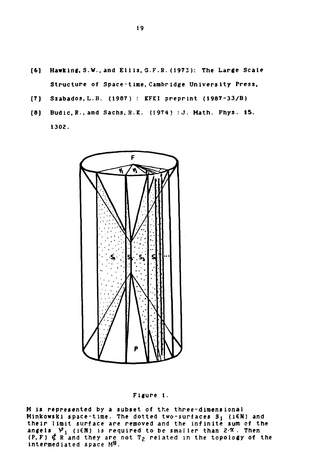- **[6] Hawking, S.W., and El 1 is, G.F.ß. (1973 ): The Large Scale Structure of Space-time, Cambridge University Press,** 
	- **[7) Szabados, L.B. (1987) : KFKI preprint (1987-33/B)**
	- **[8) Budic,B.,and Sachs,R.K. (1974) :J. Math. Phys. 15. 1302.**



## Figure 1.

**M is represented by a subset of the three-dimensional Minkowski space-time. The dotted two-surfaces Sj (i€N) and their limit surface are removed and the infinite sum of the angels Vj (i€N) is required to be smaller than 2-\*. Then (P,F) ^ R and they are not Tg related in the topology of the intermediated space M#.**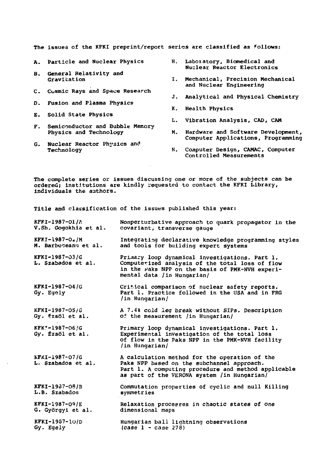The issues of the KFKI preprint/report series are classified as follows:

- A. Particle and Nuclear Physics H.
- B. General Relativity and Gravitation
- C. Cosmic Rays and Space Research
- 0. Fusion and Plasma Physics
- E. Solid State Physics
- F. Semiconductor and Bubble Memory Physics and Technology
- G. Nuclear Reactor Physics and Technology
- Laboratory, Biomedical and Nuclear Reactor Electronics
- Mechanical, Precision Mechanical I. and Nuclear Engineering
- J. Analytical and Physical Chemistry
- K. Health Physics
- L. Vibration Analysis, CAD, CAM
- M. Hardware and Software Development, Computer Applications, Programming
- N. Computer Design, CAMAC, Computer Controlled Measurements

The complete series or issues discussing one or more of the subjects can be ordered; institutions are kindly requested to contact the KFKI Library, individuals the authors.

Title and classification of the issues published this year:

| $KFI-1987-01/\Lambda$ | Nonperturbative approach to quark propagator in the |  |
|-----------------------|-----------------------------------------------------|--|
| V.Sh. Gogokhia et al. | covariant, transverse gauge                         |  |

KFKI-1987-04/M M. Barbuceanu et al. Integrating declarative knowledge programming styles and tools for building expert systems

KFKI-1987-03/G L. Szabados et al. Priinary loop dynamical investigations. Part 1. Computerized analysis of the total loss of flow in the faks NPP on the basis of PMK-NVH experimental data /in Hungarian/

KFKI-1987-04/G Gy. Egely Critical comparison of nuclear safety reports. Part 1. Practice followed in the USA and in FRG /in Hungarian/

KFKI-1987-05/G Gy. \*zsöl et al. A 7.4% cold leg break without SIPs. Description *of.* the measurement /in Hungarian/

KFKT-1987-06/G Gy. Ézsöl et al. Primary loop dynamical investigations. Part 1. Experimental investigation of the total loss of flow in the Paks NPP in the PMK-NVH facility /in Hungarian/

KFKI-1987-07/G L. Szabados et al, A calculation method for the operation of the Paks NPP based on the subchannel approach. Part 1. A computing procedure and method applicable as part of the VERONA system /in Hungarian/

KFKI-1937-08/B L.B. Szabados Commutation properties of cyclic and null Killing symmetries

KFKI-1987-09/E G. Györgyi et al, Relaxation processes in chaotic states of one dimensional maps

KFKI-1907-1O/D Gy. Egely Hungarian ball lightning observations  $(\case 1 - \case 278)$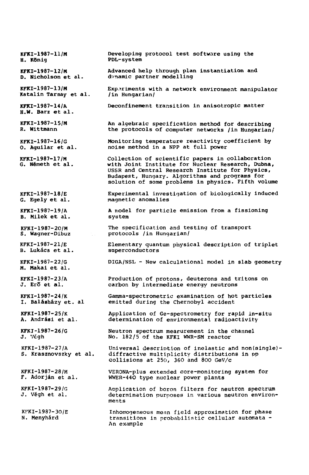**KFKI-1987-11/M H. König KFKI-1987-12/M D.** Nicholson et al. **KFKI-1987-13/M Katalin Tarnay et al. KFKI-1987-14/A H.W. Barz et al. KFKI-1987-15/M R. Wittmann KFKI-1987-16/G 0. Aguilar et al. KFKI-1987-17/M G.** Németh et al. **KFKI-1987-18/E G.** Egely et al. KFKI-1987-19/A B. Milek et al. KFKI-1987-20/M S. Wagner-Dibuz KFKI-1987-21/E B. Lukács et al. KFKI-1987-22/G M. Makai et al. KFKI-1987-23/A J. Er5 et al. KFKI-1987-24/K I. Balásházy et. al KFKI-1987-25/K A. Andrási et al. KFKI-1987-26/G J. Végh KFKI-1987-27/A S. Krasznovszky et al. KFKI-1987-28/M F. Adorján et al. KFKI-1987-29/G J. Végh et al. KFKI-1987-30/E N, Menyhárd Developing protocol test software using the PDL-system Advanced help through plan instantiation and dvnamic partner modelling Experiments with a network environment manipulator /in Hungarian/ Deconfinement transition in anisotropic matter An algebraic specification method for describing the protocols of computer networks /in Hungarian/ Monitoring temperature reactivity coefficient by noise method in a NPP at full power Collection of scientific papers in collaboration with Joint Institute for Nuclear Research, Dubna, USSR and Central Research Institute for Physics, Budapest, Hungary. Algorithms and programs for solution of some problems in physics. Fifth volume Experimental investigation of biologically induced magnetic anomalies A model for particle emission from a fissioning system The specification and testing of transport protocols /in Hungarian/ Elementary quantum physical description of triplet superconductors DIGA/NSL - New calculational model in slab geometry Production of protons, deuterons and tritons on carbon by intermediate energy neutrons Gamma-spectrometric examination of hot particles emitted during the Chernobyl accident Application of Ge-spectrometry for rapid ln-situ determination of environmental radioactivity Neutron spectrum measurement in the channel No. 182/5 of the KFKI WWR-SM reactor Universal description of inelastic and non(single)diftractive multiplicity distributions in pp collisions at 250, 360 and 800 GeV/c VERONA-plus extended core-monitoring system for WWER-440 type nuclear power plants Application of boron filters for neutron spectrum determination purposes in various neutron environments Inhomogeneous mean field approximation for phase transitions in probabilistic cellular automata - An example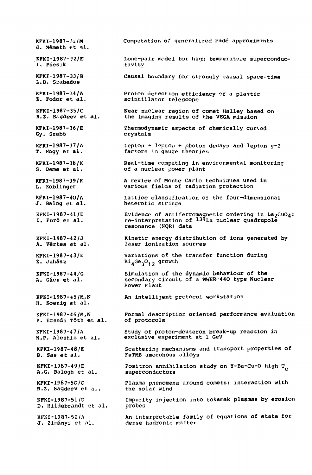$KFKI-1987-31/M$ G. Németh et al. KFKI-1987-?2/E I. Pécsik KPKJ-1987-33/B L.B. Szabados Computation of generalized Padé approximants Lone-pair model for high temperature superconductivity Causal boundary for strongly causal space-time KFKI-1987-34/A Z. Fodor et al. **KFKI-1987-35/C R.Z.** Sagdeev et al. KFKI-1987-36/E Gy. Szabó KFKI-1987-37/A T. Nagy et al. KFKI-1987-3B/K S. Deme et al. KFKI-1987-39/K L. Koblinger KFKI-1987-40/A J. Balog et al. KFKI-1987-41/E I. Furó et al. Proton detection efficiency of a plastic scintillator telescope Near nuclear region of comet Halley based on the imaging results of the VEGA mission Thermodynamic aspects of chemically curved crystals Lepton  $+$  lepton  $+$  photon decays and lepton  $g-2$ factors in gauge theories Real-time computing in environmental monitoring of a nuclear power plant A review of Monte Carlo techniques used in various fielas of radiation protection Lattice classification of the four-dimensional heterotic strings Evidence of antiferromagnetic ordering in  $\mathtt{La_2CuO_4}\colon$ re-interpretation of <sup>139</sup>La nuclear quadrupole resonance (NQR) data KFKI-1987-42/J A. Vértes et al. KFKI-1987-43/E Z. Juhász KFKI-1987-44/G A. Gács et al. Kinetic energy distribution of ions generated by laser ionization sources Variations of the transfer function during Bi<sub>4</sub>Ge<sub>3</sub>O<sub>12</sub> growth Simulation of the dynamic behaviour of the secondary circuit of a WWER-440 type Nuclear Power Plant KFKI-1987-45/M,N H. Koenlg et al. KFKI-1987-46/M,N P. Ecsedi Tóth et al. KFKI-1987-47/A N.P. Aleshin et al. **KFKI-1987-48/E B.** *Saa et* **al.**  KFKI-1987-49/E A.G. Balogh et al. **KFKI-1987-50/C R.Z. Sagdeev et al.** KFKI-1987-51/D D. Hildebrandt et al. KFXI-1987-52/A J. Zimányi et al. An intelligent protocol workstation Formal description oriented performance evaluation of protocols Study of proton-deuteron break-up reaction in exclusive experiment at 1 GeV Scattering mechanisms and transport properties of FeTMB amorphous alloys Positron annihilation study on Y-Ba-Cu-O high T<sub>c</sub> superconduc tors Plasma phenomena around comets: interaction with the solar wind Impurity injection into tokamak plasmas by erosion probes An interpretable family of equations of state for dense hadronic matter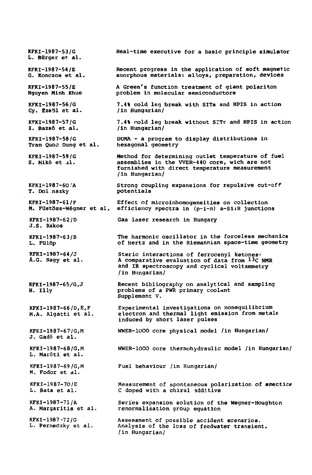**KFKI-1987-53/G L. Bürger et al. KFKI-1987-54/E G. Konczos et al. KFKI-1987-55/E Nguyen Minh Khue KFKI-1987-56/G Gy. ÉzsSl et al. KFKI-1987-57/G Z. Bazsó et al. KFKI-1987-58/G Tran Quoc Dung et al. KFKI-1987-59/G**  S. Mikó et al. **KFKI-1987-60/A T. Dol nszky KFKI-1987-61/F M. Füstöss-Wégner et al. efficiency spectra in (p-i-n) a-Si:H junctions KFKI-1987-62/D J.S. Bakos KFKI-1987-63/B L. Fülöp KFKI-1987-64/J A.G. Nagy et al. KFKl-1987-65/G,J H. Uly KFKI-1987-66/D,E,F M.A. Algatti et al. KFKI-1987-67/G,M**  J. Gadó et al. **KFKI-1987-68/G,M L. Maróti et al. Real-time executive for a basic principle simulator Recent progress in the application of soft magnetic amorphous materials: alloys, preparation, devices A Green's function treatment of giant polariton problem in molecular semiconductors 7.4% cold leg break with SITs and HPIS in action /in Hungarian/ 7.4% cold leg break without SIT? and HPIS in action /in Hungarian/ DUMA - a program to display distributions in hexagonal geometry Method for determining outlet temperature of fuel assemblies in the WER-440 core, wich are not furnished with direct temperature measurement /in Hungarian/ Strong coupling expansions for repulsive cut-off potentials Effect of microinhomogeneities on collection Gas laser research in Hungary The harmonic oscillator in the forceless mechanics of Hertz and in the Riemannian space-time geometry Steric interactions of ferrocenyl ketones? A comparative evaluation of data from <sup>13</sup> C NMR and IR spectroscopy and cyclical voltammetry /in Hungarian/ Recent bibliography on analytical and sampling problems of a PWR primary coolant Supplement V. Experimental investigations on nonequilibrium electron and thermal light emission from metalя induced by short laser pulses WWER-1000 core physical model /in Hungarian/ WWER-10O0 core thermohydraulic model /in Hungarian/ KFKI-1987-69/G,M M.** Fodor et al. **Fuel behaviour /in Hungarian/ KFKI-1987-70/E L. Bata et al. KFKI-1987-71/A A. Margaritis et al. KFKI-1987-72/G L. Perneczky et al. Measurement of spontaneous polarization of emectic? doped with a chiral additive Series expansion solution of the Wegner-Houghton renormalisation group equation Assessment of possible accident scenarios. Analysis of the loss of feedwater transient. /in Hungarian/**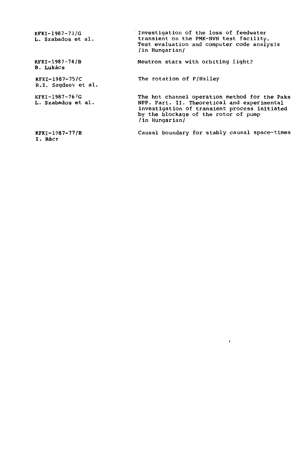| KFKI-1987-73/G<br>L. Szabados et al.    | Investigation of the loss of feedwater<br>transient on the PMK-NVH test facility.<br>Test evaluation and computer code analysis<br>/in Hungarian/                                                      |  |
|-----------------------------------------|--------------------------------------------------------------------------------------------------------------------------------------------------------------------------------------------------------|--|
| KFKI-1987-74/B<br><b>B.</b> Lukács      | Neutron stars with orbiting light?                                                                                                                                                                     |  |
| $KFKI-1987-75/C$<br>R.Z. Saqdeev et al. | The rotation of P/Halley                                                                                                                                                                               |  |
| KFKI-1987-76/G<br>L. Szabados et al.    | The hot channel operation method for the Paks<br>NPP. Part. II. Theoretical and experimental<br>investigation of transient process initiated<br>by the blockage of the rotor of pump<br>/in Hungarian/ |  |
| $KFKI-1987-77/B$<br>I. Rácz             | Causal boundary for stably causal space-times                                                                                                                                                          |  |

 $\mathcal{O}(\mathcal{O}(\log n))$